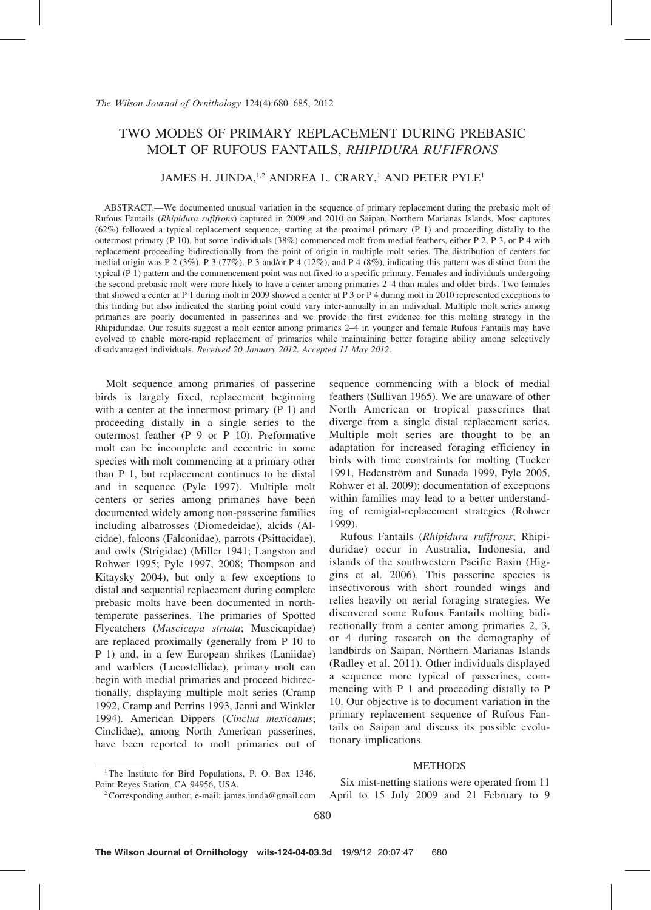# TWO MODES OF PRIMARY REPLACEMENT DURING PREBASIC MOLT OF RUFOUS FANTAILS, RHIPIDURA RUFIFRONS

# JAMES H. JUNDA.<sup>1,2</sup> ANDREA L. CRARY,<sup>1</sup> AND PETER PYLE<sup>1</sup>

ABSTRACT.—We documented unusual variation in the sequence of primary replacement during the prebasic molt of Rufous Fantails (Rhipidura rufifrons) captured in 2009 and 2010 on Saipan, Northern Marianas Islands. Most captures (62%) followed a typical replacement sequence, starting at the proximal primary (P 1) and proceeding distally to the outermost primary (P 10), but some individuals (38%) commenced molt from medial feathers, either P 2, P 3, or P 4 with replacement proceeding bidirectionally from the point of origin in multiple molt series. The distribution of centers for medial origin was P 2 (3%), P 3 (77%), P 3 and/or P 4 (12%), and P 4 (8%), indicating this pattern was distinct from the typical  $(P_1)$  pattern and the commencement point was not fixed to a specific primary. Females and individuals undergoing the second prebasic molt were more likely to have a center among primaries 2-4 than males and older birds. Two females that showed a center at P 1 during molt in 2009 showed a center at P 3 or P 4 during molt in 2010 represented exceptions to this finding but also indicated the starting point could vary inter-annually in an individual. Multiple molt series among primaries are poorly documented in passerines and we provide the first evidence for this molting strategy in the Rhipiduridae. Our results suggest a molt center among primaries 2–4 in younger and female Rufous Fantails may have evolved to enable more-rapid replacement of primaries while maintaining better foraging ability among selectively disadvantaged individuals. Received 20 January 2012. Accepted 11 May 2012.

Molt sequence among primaries of passerine birds is largely fixed, replacement beginning with a center at the innermost primary (P 1) and proceeding distally in a single series to the outermost feather (P 9 or P 10). Preformative molt can be incomplete and eccentric in some species with molt commencing at a primary other than P 1, but replacement continues to be distal and in sequence (Pyle 1997). Multiple molt centers or series among primaries have been documented widely among non-passerine families including albatrosses (Diomedeidae), alcids (Alcidae), falcons (Falconidae), parrots (Psittacidae), and owls (Strigidae) (Miller 1941; Langston and Rohwer 1995; Pyle 1997, 2008; Thompson and Kitaysky 2004), but only a few exceptions to distal and sequential replacement during complete prebasic molts have been documented in northtemperate passerines. The primaries of Spotted Flycatchers (Muscicapa striata; Muscicapidae) are replaced proximally (generally from P 10 to P 1) and, in a few European shrikes (Laniidae) and warblers (Lucostellidae), primary molt can begin with medial primaries and proceed bidirectionally, displaying multiple molt series (Cramp 1992, Cramp and Perrins 1993, Jenni and Winkler 1994). American Dippers (Cinclus mexicanus; Cinclidae), among North American passerines, have been reported to molt primaries out of sequence commencing with a block of medial feathers (Sullivan 1965). We are unaware of other North American or tropical passerines that diverge from a single distal replacement series. Multiple molt series are thought to be an adaptation for increased foraging efficiency in birds with time constraints for molting (Tucker 1991, Hedenström and Sunada 1999, Pyle 2005, Rohwer et al. 2009); documentation of exceptions within families may lead to a better understanding of remigial-replacement strategies (Rohwer 1999).

Rufous Fantails (Rhipidura rufifrons; Rhipiduridae) occur in Australia, Indonesia, and islands of the southwestern Pacific Basin (Higgins et al. 2006). This passerine species is insectivorous with short rounded wings and relies heavily on aerial foraging strategies. We discovered some Rufous Fantails molting bidirectionally from a center among primaries 2, 3, or 4 during research on the demography of landbirds on Saipan, Northern Marianas Islands (Radley et al. 2011). Other individuals displayed a sequence more typical of passerines, commencing with P 1 and proceeding distally to P 10. Our objective is to document variation in the primary replacement sequence of Rufous Fantails on Saipan and discuss its possible evolutionary implications.

### **METHODS**

<sup>&</sup>lt;sup>1</sup>The Institute for Bird Populations, P. O. Box 1346, Point Reyes Station, CA 94956, USA. 2Corresponding author; e-mail: james.junda@gmail.com

Six mist-netting stations were operated from 11 April to 15 July 2009 and 21 February to 9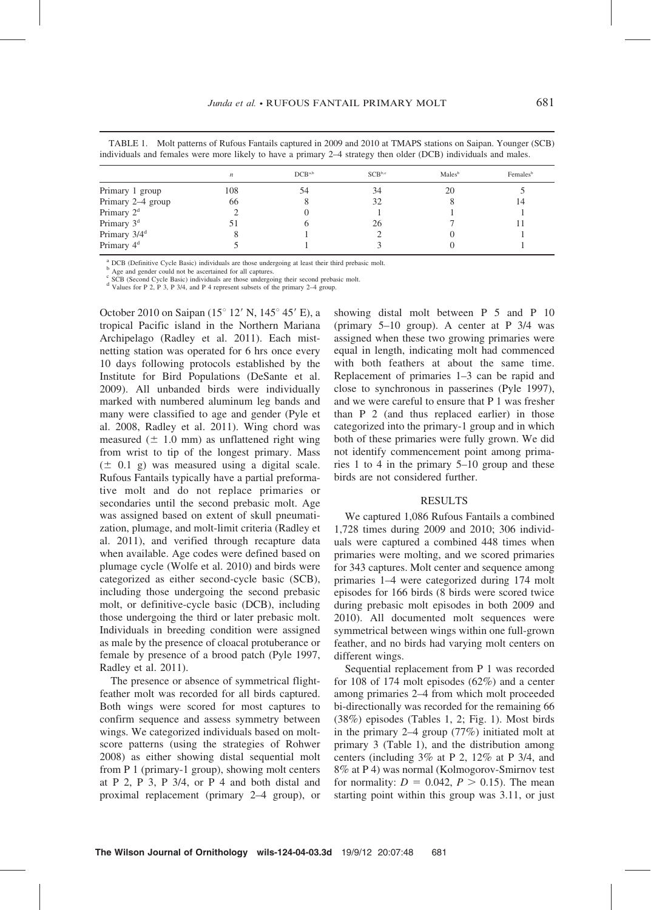| TABLE 1. Molt patterns of Rufous Fantails captured in 2009 and 2010 at TMAPS stations on Saipan. Younger (SCB<br>individuals and females were more likely to have a primary 2–4 strategy then older (DCB) individuals and males. |             |                    |                    |                      |  |  |  |  |
|----------------------------------------------------------------------------------------------------------------------------------------------------------------------------------------------------------------------------------|-------------|--------------------|--------------------|----------------------|--|--|--|--|
|                                                                                                                                                                                                                                  | $DCB^{a,b}$ | SCB <sub>b,c</sub> | Males <sup>b</sup> | Females <sup>b</sup> |  |  |  |  |

|                   |     | $DCB^{a,b}$ | SCB <sup>b,c</sup> | Males <sup>b</sup> | Females <sup>b</sup> |
|-------------------|-----|-------------|--------------------|--------------------|----------------------|
| Primary 1 group   | 108 |             | 34                 | 20                 |                      |
| Primary 2-4 group | 66  |             |                    |                    | 14                   |
| Primary $2d$      |     |             |                    |                    |                      |

Primary  $3^d$  51 6 26 7 11 Primary  $3/4^d$  8 1 2 0 1 Primary  $4^d$  5 1 3 0 1

<sup>a</sup> DCB (Definitive Cycle Basic) individuals are those undergoing at least their third prebasic molt.<br><sup>6</sup> Age and gender could not be assertained for all captures.<br><sup>6</sup> SCB (Second Cycle Basic) individuals are those underg

October 2010 on Saipan (15 $^{\circ}$  12' N, 145 $^{\circ}$  45' E), a tropical Pacific island in the Northern Mariana Archipelago (Radley et al. 2011). Each mistnetting station was operated for 6 hrs once every 10 days following protocols established by the Institute for Bird Populations (DeSante et al. 2009). All unbanded birds were individually marked with numbered aluminum leg bands and many were classified to age and gender (Pyle et al. 2008, Radley et al. 2011). Wing chord was measured ( $\pm$  1.0 mm) as unflattened right wing from wrist to tip of the longest primary. Mass  $(\pm 0.1 \text{ g})$  was measured using a digital scale. Rufous Fantails typically have a partial preformative molt and do not replace primaries or secondaries until the second prebasic molt. Age was assigned based on extent of skull pneumatization, plumage, and molt-limit criteria (Radley et al. 2011), and verified through recapture data when available. Age codes were defined based on plumage cycle (Wolfe et al. 2010) and birds were categorized as either second-cycle basic (SCB), including those undergoing the second prebasic molt, or definitive-cycle basic (DCB), including those undergoing the third or later prebasic molt. Individuals in breeding condition were assigned as male by the presence of cloacal protuberance or female by presence of a brood patch (Pyle 1997, Radley et al. 2011).

The presence or absence of symmetrical flightfeather molt was recorded for all birds captured. Both wings were scored for most captures to confirm sequence and assess symmetry between wings. We categorized individuals based on moltscore patterns (using the strategies of Rohwer 2008) as either showing distal sequential molt from P 1 (primary-1 group), showing molt centers at P 2, P 3, P 3/4, or P 4 and both distal and proximal replacement (primary 2–4 group), or showing distal molt between P 5 and P 10 (primary 5–10 group). A center at P 3/4 was assigned when these two growing primaries were equal in length, indicating molt had commenced with both feathers at about the same time. Replacement of primaries 1–3 can be rapid and close to synchronous in passerines (Pyle 1997), and we were careful to ensure that P 1 was fresher than P 2 (and thus replaced earlier) in those categorized into the primary-1 group and in which both of these primaries were fully grown. We did not identify commencement point among primaries 1 to 4 in the primary 5–10 group and these birds are not considered further.

#### **RESULTS**

We captured 1,086 Rufous Fantails a combined 1,728 times during 2009 and 2010; 306 individuals were captured a combined 448 times when primaries were molting, and we scored primaries for 343 captures. Molt center and sequence among primaries 1–4 were categorized during 174 molt episodes for 166 birds (8 birds were scored twice during prebasic molt episodes in both 2009 and 2010). All documented molt sequences were symmetrical between wings within one full-grown feather, and no birds had varying molt centers on different wings.

Sequential replacement from P 1 was recorded for 108 of 174 molt episodes (62%) and a center among primaries 2–4 from which molt proceeded bi-directionally was recorded for the remaining 66 (38%) episodes (Tables 1, 2; Fig. 1). Most birds in the primary 2–4 group (77%) initiated molt at primary 3 (Table 1), and the distribution among centers (including 3% at P 2, 12% at P 3/4, and 8% at P 4) was normal (Kolmogorov-Smirnov test for normality:  $D = 0.042$ ,  $P > 0.15$ ). The mean starting point within this group was 3.11, or just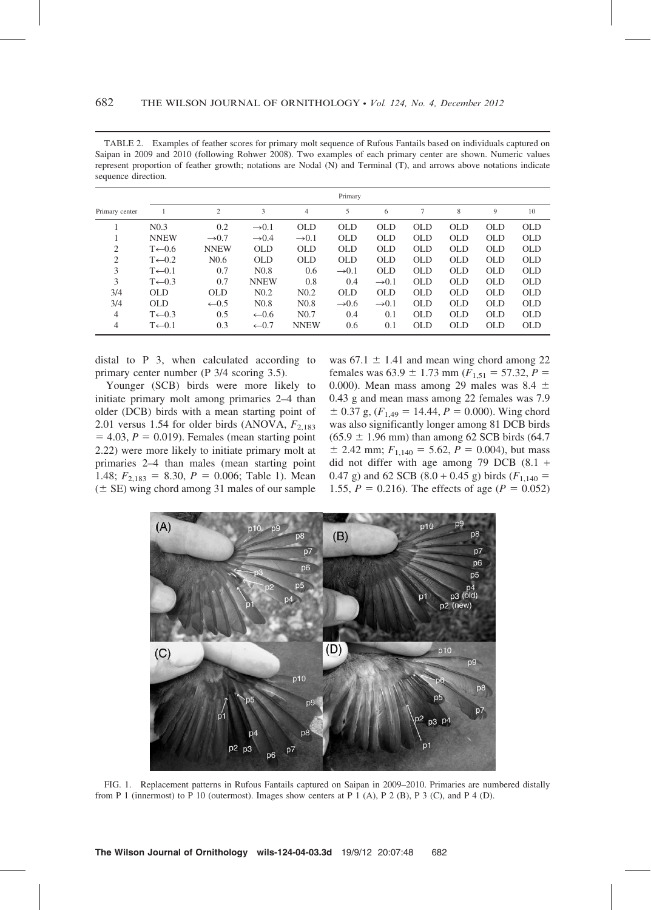TABLE 2. Examples of feather scores for primary molt sequence of Rufous Fantails based on individuals captured on Saipan in 2009 and 2010 (following Rohwer 2008). Two examples of each primary center are shown. Numeric values represent proportion of feather growth; notations are Nodal (N) and Terminal (T), and arrows above notations indicate sequence direction.

|                | Primary            |                   |                   |                   |                   |                   |            |            |            |            |
|----------------|--------------------|-------------------|-------------------|-------------------|-------------------|-------------------|------------|------------|------------|------------|
| Primary center |                    | $\overline{c}$    | 3                 | $\overline{4}$    | 5                 | 6                 | 7          | 8          | 9          | 10         |
|                | N <sub>0.3</sub>   | 0.2               | $\rightarrow 0.1$ | OLD               | OLD               | <b>OLD</b>        | <b>OLD</b> | <b>OLD</b> | <b>OLD</b> | OLD        |
|                | <b>NNEW</b>        | $\rightarrow 0.7$ | $\rightarrow 0.4$ | $\rightarrow 0.1$ | <b>OLD</b>        | <b>OLD</b>        | <b>OLD</b> | <b>OLD</b> | <b>OLD</b> | <b>OLD</b> |
| $\overline{c}$ | $T \leftarrow 0.6$ | <b>NNEW</b>       | <b>OLD</b>        | <b>OLD</b>        | <b>OLD</b>        | <b>OLD</b>        | <b>OLD</b> | <b>OLD</b> | <b>OLD</b> | <b>OLD</b> |
| $\overline{c}$ | $T \leftarrow 0.2$ | N <sub>0.6</sub>  | OLD               | <b>OLD</b>        | OLD.              | OLD               | OLD        | OLD        | OLD        | OLD        |
| 3              | $T \leftarrow 0.1$ | 0.7               | N <sub>0.8</sub>  | 0.6               | $\rightarrow 0.1$ | <b>OLD</b>        | <b>OLD</b> | OLD        | OLD        | OLD        |
| 3              | $T \leftarrow 0.3$ | 0.7               | <b>NNEW</b>       | 0.8               | 0.4               | $\rightarrow 0.1$ | <b>OLD</b> | <b>OLD</b> | <b>OLD</b> | <b>OLD</b> |
| 3/4            | OLD                | <b>OLD</b>        | N <sub>0.2</sub>  | N <sub>0.2</sub>  | <b>OLD</b>        | <b>OLD</b>        | <b>OLD</b> | <b>OLD</b> | <b>OLD</b> | <b>OLD</b> |
| 3/4            | OLD                | $-0.5$            | N <sub>0.8</sub>  | N <sub>0.8</sub>  | $\rightarrow 0.6$ | $\rightarrow 0.1$ | <b>OLD</b> | <b>OLD</b> | OLD        | OLD        |
| 4              | $T \leftarrow 0.3$ | 0.5               | $-0.6$            | N <sub>0.7</sub>  | 0.4               | 0.1               | <b>OLD</b> | <b>OLD</b> | OLD        | OLD        |
| $\overline{4}$ | $T \leftarrow 0.1$ | 0.3               | $\leftarrow 0.7$  | <b>NNEW</b>       | 0.6               | 0.1               | <b>OLD</b> | <b>OLD</b> | <b>OLD</b> | OLD        |

distal to P 3, when calculated according to primary center number (P 3/4 scoring 3.5).

Younger (SCB) birds were more likely to initiate primary molt among primaries 2–4 than older (DCB) birds with a mean starting point of 2.01 versus 1.54 for older birds (ANOVA,  $F_{2,183}$ )  $= 4.03, P = 0.019$ . Females (mean starting point 2.22) were more likely to initiate primary molt at primaries 2–4 than males (mean starting point 1.48;  $F_{2,183} = 8.30, P = 0.006$ ; Table 1). Mean  $(±$  SE) wing chord among 31 males of our sample was  $67.1 \pm 1.41$  and mean wing chord among 22 females was  $63.9 \pm 1.73$  mm ( $F_{1,51} = 57.32$ ,  $P =$ 0.000). Mean mass among 29 males was  $8.4 \pm$ 0.43 g and mean mass among 22 females was 7.9  $\pm$  0.37 g, ( $F_{1,49}$  = 14.44,  $P = 0.000$ ). Wing chord was also significantly longer among 81 DCB birds  $(65.9 \pm 1.96 \text{ mm})$  than among 62 SCB birds (64.7)  $\pm$  2.42 mm;  $F_{1,140} = 5.62, P = 0.004$ ), but mass did not differ with age among 79 DCB (8.1 + 0.47 g) and 62 SCB (8.0 + 0.45 g) birds ( $F_{1,140}$  = 1.55,  $P = 0.216$ ). The effects of age ( $P = 0.052$ )



FIG. 1. Replacement patterns in Rufous Fantails captured on Saipan in 2009–2010. Primaries are numbered distally from P 1 (innermost) to P 10 (outermost). Images show centers at P 1 (A), P 2 (B), P 3 (C), and P 4 (D).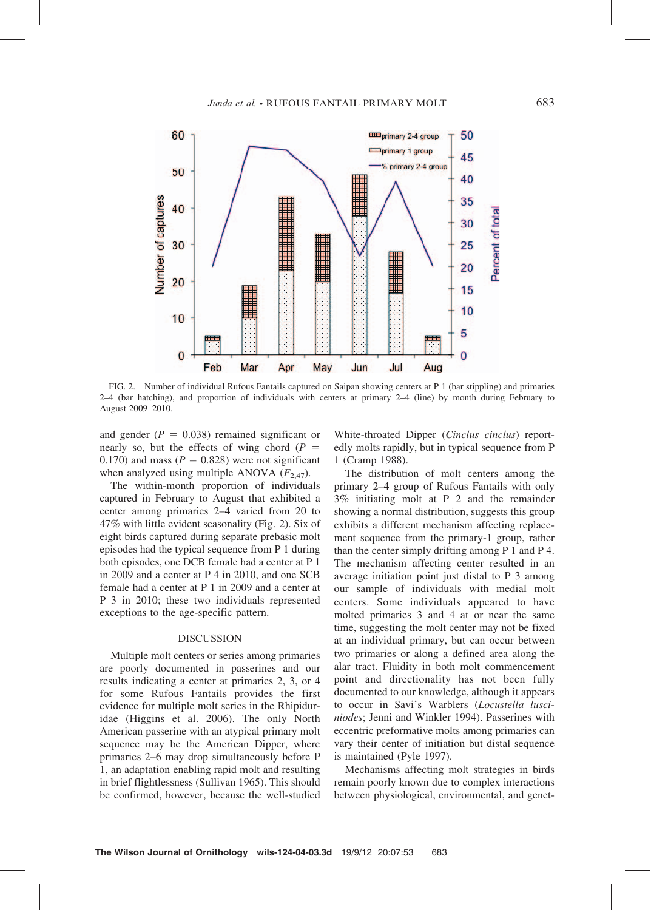

FIG. 2. Number of individual Rufous Fantails captured on Saipan showing centers at P 1 (bar stippling) and primaries 2–4 (bar hatching), and proportion of individuals with centers at primary 2–4 (line) by month during February to August 2009–2010.

and gender ( $P = 0.038$ ) remained significant or nearly so, but the effects of wing chord ( $P =$ 0.170) and mass ( $P = 0.828$ ) were not significant when analyzed using multiple ANOVA  $(F_{2,47})$ .

The within-month proportion of individuals captured in February to August that exhibited a center among primaries 2–4 varied from 20 to 47% with little evident seasonality (Fig. 2). Six of eight birds captured during separate prebasic molt episodes had the typical sequence from P 1 during both episodes, one DCB female had a center at P 1 in 2009 and a center at P 4 in 2010, and one SCB female had a center at P 1 in 2009 and a center at P 3 in 2010; these two individuals represented exceptions to the age-specific pattern.

#### DISCUSSION

Multiple molt centers or series among primaries are poorly documented in passerines and our results indicating a center at primaries 2, 3, or 4 for some Rufous Fantails provides the first evidence for multiple molt series in the Rhipiduridae (Higgins et al. 2006). The only North American passerine with an atypical primary molt sequence may be the American Dipper, where primaries 2–6 may drop simultaneously before P 1, an adaptation enabling rapid molt and resulting in brief flightlessness (Sullivan 1965). This should be confirmed, however, because the well-studied White-throated Dipper (Cinclus cinclus) reportedly molts rapidly, but in typical sequence from P 1 (Cramp 1988).

The distribution of molt centers among the primary 2–4 group of Rufous Fantails with only 3% initiating molt at P 2 and the remainder showing a normal distribution, suggests this group exhibits a different mechanism affecting replacement sequence from the primary-1 group, rather than the center simply drifting among P 1 and P 4. The mechanism affecting center resulted in an average initiation point just distal to P 3 among our sample of individuals with medial molt centers. Some individuals appeared to have molted primaries 3 and 4 at or near the same time, suggesting the molt center may not be fixed at an individual primary, but can occur between two primaries or along a defined area along the alar tract. Fluidity in both molt commencement point and directionality has not been fully documented to our knowledge, although it appears to occur in Savi's Warblers (Locustella lusciniodes; Jenni and Winkler 1994). Passerines with eccentric preformative molts among primaries can vary their center of initiation but distal sequence is maintained (Pyle 1997).

Mechanisms affecting molt strategies in birds remain poorly known due to complex interactions between physiological, environmental, and genet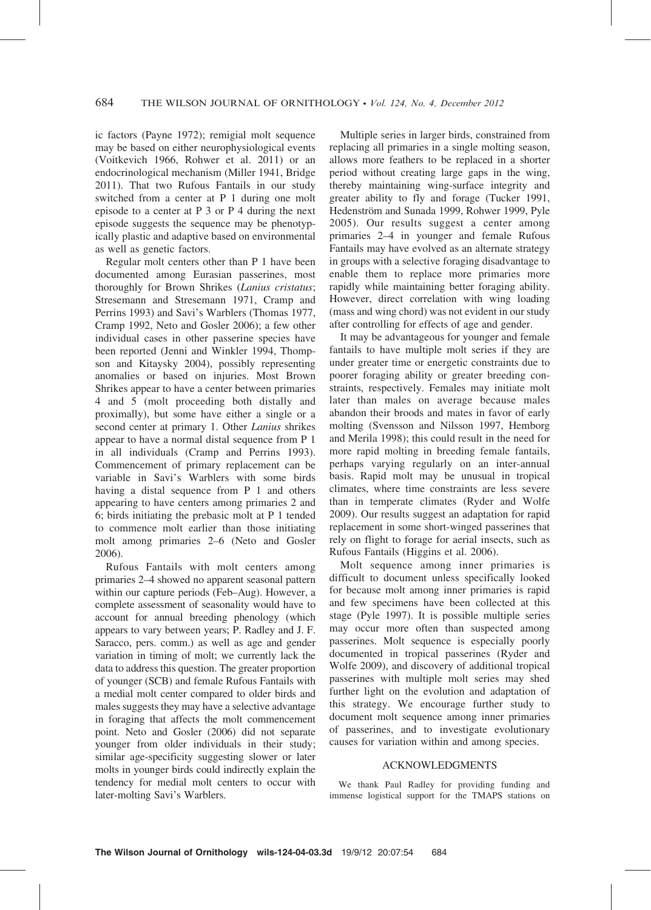ic factors (Payne 1972); remigial molt sequence may be based on either neurophysiological events (Voitkevich 1966, Rohwer et al. 2011) or an endocrinological mechanism (Miller 1941, Bridge 2011). That two Rufous Fantails in our study switched from a center at P 1 during one molt episode to a center at P 3 or P 4 during the next episode suggests the sequence may be phenotypically plastic and adaptive based on environmental as well as genetic factors.

Regular molt centers other than P 1 have been documented among Eurasian passerines, most thoroughly for Brown Shrikes (Lanius cristatus; Stresemann and Stresemann 1971, Cramp and Perrins 1993) and Savi's Warblers (Thomas 1977, Cramp 1992, Neto and Gosler 2006); a few other individual cases in other passerine species have been reported (Jenni and Winkler 1994, Thompson and Kitaysky 2004), possibly representing anomalies or based on injuries. Most Brown Shrikes appear to have a center between primaries 4 and 5 (molt proceeding both distally and proximally), but some have either a single or a second center at primary 1. Other Lanius shrikes appear to have a normal distal sequence from P 1 in all individuals (Cramp and Perrins 1993). Commencement of primary replacement can be variable in Savi's Warblers with some birds having a distal sequence from P 1 and others appearing to have centers among primaries 2 and 6; birds initiating the prebasic molt at P 1 tended to commence molt earlier than those initiating molt among primaries 2–6 (Neto and Gosler 2006).

Rufous Fantails with molt centers among primaries 2–4 showed no apparent seasonal pattern within our capture periods (Feb–Aug). However, a complete assessment of seasonality would have to account for annual breeding phenology (which appears to vary between years; P. Radley and J. F. Saracco, pers. comm.) as well as age and gender variation in timing of molt; we currently lack the data to address this question. The greater proportion of younger (SCB) and female Rufous Fantails with a medial molt center compared to older birds and males suggests they may have a selective advantage in foraging that affects the molt commencement point. Neto and Gosler (2006) did not separate younger from older individuals in their study; similar age-specificity suggesting slower or later molts in younger birds could indirectly explain the tendency for medial molt centers to occur with later-molting Savi's Warblers.

Multiple series in larger birds, constrained from replacing all primaries in a single molting season, allows more feathers to be replaced in a shorter period without creating large gaps in the wing, thereby maintaining wing-surface integrity and greater ability to fly and forage (Tucker 1991, Hedenström and Sunada 1999, Rohwer 1999, Pyle 2005). Our results suggest a center among primaries 2–4 in younger and female Rufous Fantails may have evolved as an alternate strategy in groups with a selective foraging disadvantage to enable them to replace more primaries more rapidly while maintaining better foraging ability. However, direct correlation with wing loading (mass and wing chord) was not evident in our study after controlling for effects of age and gender.

It may be advantageous for younger and female fantails to have multiple molt series if they are under greater time or energetic constraints due to poorer foraging ability or greater breeding constraints, respectively. Females may initiate molt later than males on average because males abandon their broods and mates in favor of early molting (Svensson and Nilsson 1997, Hemborg and Merila 1998); this could result in the need for more rapid molting in breeding female fantails, perhaps varying regularly on an inter-annual basis. Rapid molt may be unusual in tropical climates, where time constraints are less severe than in temperate climates (Ryder and Wolfe 2009). Our results suggest an adaptation for rapid replacement in some short-winged passerines that rely on flight to forage for aerial insects, such as Rufous Fantails (Higgins et al. 2006).

Molt sequence among inner primaries is difficult to document unless specifically looked for because molt among inner primaries is rapid and few specimens have been collected at this stage (Pyle 1997). It is possible multiple series may occur more often than suspected among passerines. Molt sequence is especially poorly documented in tropical passerines (Ryder and Wolfe 2009), and discovery of additional tropical passerines with multiple molt series may shed further light on the evolution and adaptation of this strategy. We encourage further study to document molt sequence among inner primaries of passerines, and to investigate evolutionary causes for variation within and among species.

## ACKNOWLEDGMENTS

We thank Paul Radley for providing funding and immense logistical support for the TMAPS stations on